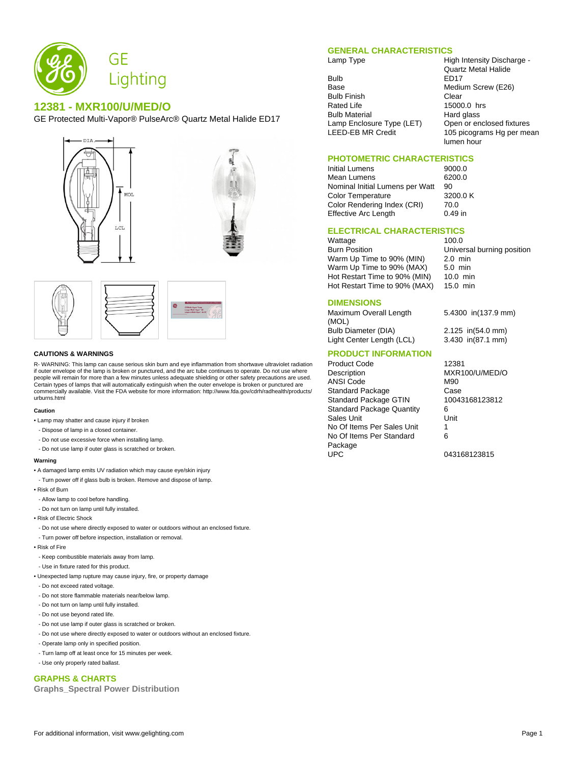

# **12381 - MXR100/U/MED/O**

GE Protected Multi-Vapor® PulseArc® Quartz Metal Halide ED17





### **CAUTIONS & WARNINGS**

R- WARNING: This lamp can cause serious skin burn and eye inflammation from shortwave ultraviolet radiation if outer envelope of the lamp is broken or punctured, and the arc tube continues to operate. Do not use where people will remain for more than a few minutes unless adequate shielding or other safety precautions are used. Certain types of lamps that will automatically extinguish when the outer envelope is broken or punctured are commercially available. Visit the FDA website for more information: http://www.fda.gov/cdrh/radhealth/products/ urburns.html

#### **Caution**

- Lamp may shatter and cause injury if broken
- Dispose of lamp in a closed container.
- Do not use excessive force when installing lamp.
- Do not use lamp if outer glass is scratched or broken.

#### **Warning**

- A damaged lamp emits UV radiation which may cause eye/skin injury
- Turn power off if glass bulb is broken. Remove and dispose of lamp.
- Risk of Burn
- Allow lamp to cool before handling.
- Do not turn on lamp until fully installed.
- Risk of Electric Shock
- Do not use where directly exposed to water or outdoors without an enclosed fixture.
- Turn power off before inspection, installation or removal.
- Risk of Fire
- Keep combustible materials away from lamp.
- Use in fixture rated for this product.
- Unexpected lamp rupture may cause injury, fire, or property damage
- Do not exceed rated voltage.
- Do not store flammable materials near/below lamp.
- Do not turn on lamp until fully installed.
- Do not use beyond rated life.
- Do not use lamp if outer glass is scratched or broken.
- Do not use where directly exposed to water or outdoors without an enclosed fixture.
- Operate lamp only in specified position.
- Turn lamp off at least once for 15 minutes per week.
- Use only properly rated ballast.

# **GRAPHS & CHARTS**

**Graphs\_Spectral Power Distribution**

## **GENERAL CHARACTERISTICS**

Bulb ED17<br>Base Mediu Bulb Finish<br>Rated Life **Clear** 15000 Bulb Material **Hard glass** 

Lamp Type **High Intensity Discharge -**Quartz Metal Halide Medium Screw (E26) 15000.0 hrs Lamp Enclosure Type (LET) Open or enclosed fixtures<br>LEED-EB MR Credit 105 picograms Hg per me 105 picograms Hg per mean lumen hour

## **PHOTOMETRIC CHARACTERISTICS**

Initial Lumens 9000.0 Mean Lumens 6200.0 Nominal Initial Lumens per Watt 90<br>Color Temperature 3200.0 K Color Temperature 3200<br>Color Rendering Index (CRI) 70.0 Color Rendering Index (CRI) Effective Arc Length 0.49 in

**ELECTRICAL CHARACTERISTICS**

Wattage 100.0 Burn Position Universal burning position Warm Up Time to 90% (MIN) 2.0 min<br>Warm Up Time to 90% (MAX) 5.0 min Warm Up Time to 90% (MAX) Hot Restart Time to 90% (MIN) 10.0 min<br>Hot Restart Time to 90% (MAX) 15.0 min Hot Restart Time to 90% (MAX)

### **DIMENSIONS**

Maximum Overall Length (MOL) Bulb Diameter (DIA) 2.125 in(54.0 mm) Light Center Length (LCL) 3.430 in(87.1 mm)

## **PRODUCT INFORMATION**

Product Code 12381<br>Description MXR1 ANSI Code M90 Standard Package Case<br>
Standard Package GTIN 10043168123812 Standard Package GTIN Standard Package Quantity 6<br>Sales Unit 6 **Sales Unit** No Of Items Per Sales Unit 1 No Of Items Per Standard Package<br>UPC

5.4300 in(137.9 mm)

MXR100/U/MED/O 6

043168123815